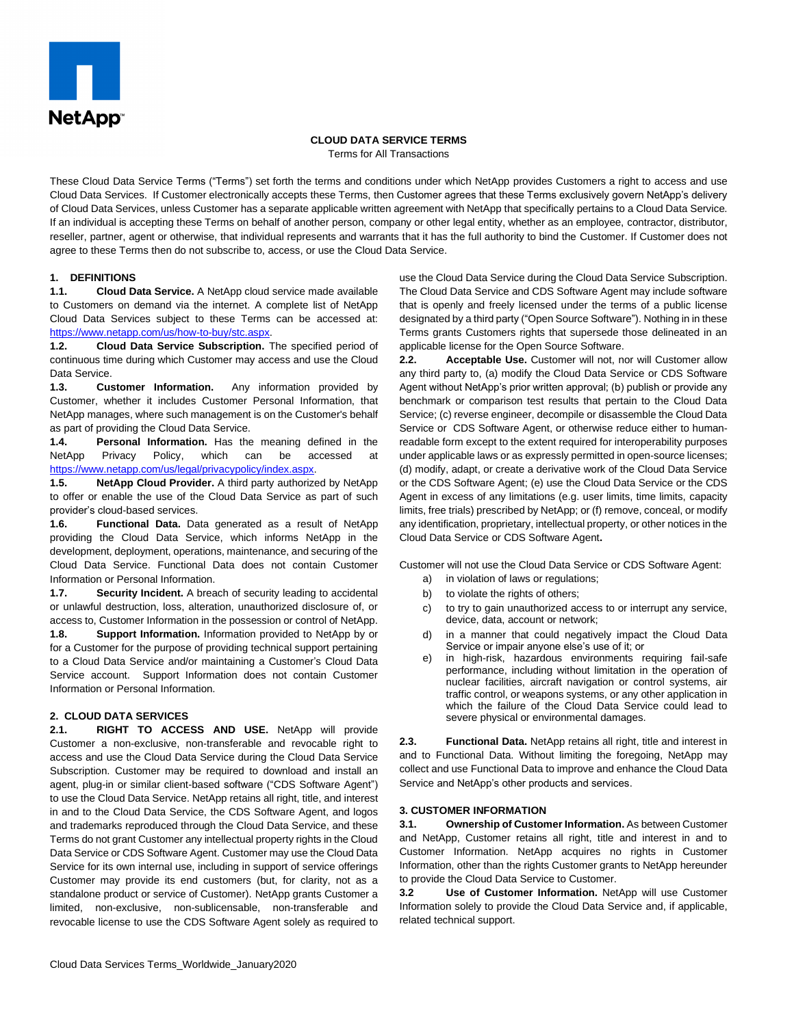

### **CLOUD DATA SERVICE TERMS**

Terms for All Transactions

These Cloud Data Service Terms ("Terms") set forth the terms and conditions under which NetApp provides Customers a right to access and use Cloud Data Services. If Customer electronically accepts these Terms, then Customer agrees that these Terms exclusively govern NetApp's delivery of Cloud Data Services, unless Customer has a separate applicable written agreement with NetApp that specifically pertains to a Cloud Data Service. If an individual is accepting these Terms on behalf of another person, company or other legal entity, whether as an employee, contractor, distributor, reseller, partner, agent or otherwise, that individual represents and warrants that it has the full authority to bind the Customer. If Customer does not agree to these Terms then do not subscribe to, access, or use the Cloud Data Service.

## **1. DEFINITIONS**

**1.1. Cloud Data Service.** A NetApp cloud service made available to Customers on demand via the internet. A complete list of NetApp Cloud Data Services subject to these Terms can be accessed at: [https://www.netapp.com/us/how-to-buy/stc.aspx.](https://www.netapp.com/us/how-to-buy/stc.aspx)

**1.2. Cloud Data Service Subscription.** The specified period of continuous time during which Customer may access and use the Cloud Data Service.

**1.3. Customer Information.** Any information provided by Customer, whether it includes Customer Personal Information, that NetApp manages, where such management is on the Customer's behalf as part of providing the Cloud Data Service.

**1.4. Personal Information.** Has the meaning defined in the NetApp Privacy Policy, which can be accessed at [https://www.netapp.com/us/legal/privacypolicy/index.aspx.](https://www.netapp.com/us/legal/privacypolicy/index.aspx)

**1.5. NetApp Cloud Provider.** A third party authorized by NetApp to offer or enable the use of the Cloud Data Service as part of such provider's cloud-based services.

**1.6. Functional Data.** Data generated as a result of NetApp providing the Cloud Data Service, which informs NetApp in the development, deployment, operations, maintenance, and securing of the Cloud Data Service. Functional Data does not contain Customer Information or Personal Information.

**1.7. Security Incident.** A breach of security leading to accidental or unlawful destruction, loss, alteration, unauthorized disclosure of, or access to, Customer Information in the possession or control of NetApp.

**1.8. Support Information.** Information provided to NetApp by or for a Customer for the purpose of providing technical support pertaining to a Cloud Data Service and/or maintaining a Customer's Cloud Data Service account. Support Information does not contain Customer Information or Personal Information.

## **2. CLOUD DATA SERVICES**

**2.1. RIGHT TO ACCESS AND USE.** NetApp will provide Customer a non-exclusive, non-transferable and revocable right to access and use the Cloud Data Service during the Cloud Data Service Subscription. Customer may be required to download and install an agent, plug-in or similar client-based software ("CDS Software Agent") to use the Cloud Data Service. NetApp retains all right, title, and interest in and to the Cloud Data Service, the CDS Software Agent, and logos and trademarks reproduced through the Cloud Data Service, and these Terms do not grant Customer any intellectual property rights in the Cloud Data Service or CDS Software Agent. Customer may use the Cloud Data Service for its own internal use, including in support of service offerings Customer may provide its end customers (but, for clarity, not as a standalone product or service of Customer). NetApp grants Customer a limited, non-exclusive, non-sublicensable, non-transferable and revocable license to use the CDS Software Agent solely as required to use the Cloud Data Service during the Cloud Data Service Subscription. The Cloud Data Service and CDS Software Agent may include software that is openly and freely licensed under the terms of a public license designated by a third party ("Open Source Software"). Nothing in in these Terms grants Customers rights that supersede those delineated in an applicable license for the Open Source Software.

**2.2. Acceptable Use.** Customer will not, nor will Customer allow any third party to, (a) modify the Cloud Data Service or CDS Software Agent without NetApp's prior written approval; (b) publish or provide any benchmark or comparison test results that pertain to the Cloud Data Service; (c) reverse engineer, decompile or disassemble the Cloud Data Service or CDS Software Agent, or otherwise reduce either to humanreadable form except to the extent required for interoperability purposes under applicable laws or as expressly permitted in open-source licenses; (d) modify, adapt, or create a derivative work of the Cloud Data Service or the CDS Software Agent; (e) use the Cloud Data Service or the CDS Agent in excess of any limitations (e.g. user limits, time limits, capacity limits, free trials) prescribed by NetApp; or (f) remove, conceal, or modify any identification, proprietary, intellectual property, or other notices in the Cloud Data Service or CDS Software Agent**.**

Customer will not use the Cloud Data Service or CDS Software Agent:

- a) in violation of laws or regulations;
- b) to violate the rights of others;
- c) to try to gain unauthorized access to or interrupt any service, device, data, account or network;
- d) in a manner that could negatively impact the Cloud Data Service or impair anyone else's use of it; or
- e) in high-risk, hazardous environments requiring fail-safe performance, including without limitation in the operation of nuclear facilities, aircraft navigation or control systems, air traffic control, or weapons systems, or any other application in which the failure of the Cloud Data Service could lead to severe physical or environmental damages.

**2.3. Functional Data.** NetApp retains all right, title and interest in and to Functional Data. Without limiting the foregoing, NetApp may collect and use Functional Data to improve and enhance the Cloud Data Service and NetApp's other products and services.

## **3. CUSTOMER INFORMATION**

**3.1. Ownership of Customer Information.** As between Customer and NetApp, Customer retains all right, title and interest in and to Customer Information. NetApp acquires no rights in Customer Information, other than the rights Customer grants to NetApp hereunder to provide the Cloud Data Service to Customer.

**3.2 Use of Customer Information.** NetApp will use Customer Information solely to provide the Cloud Data Service and, if applicable, related technical support.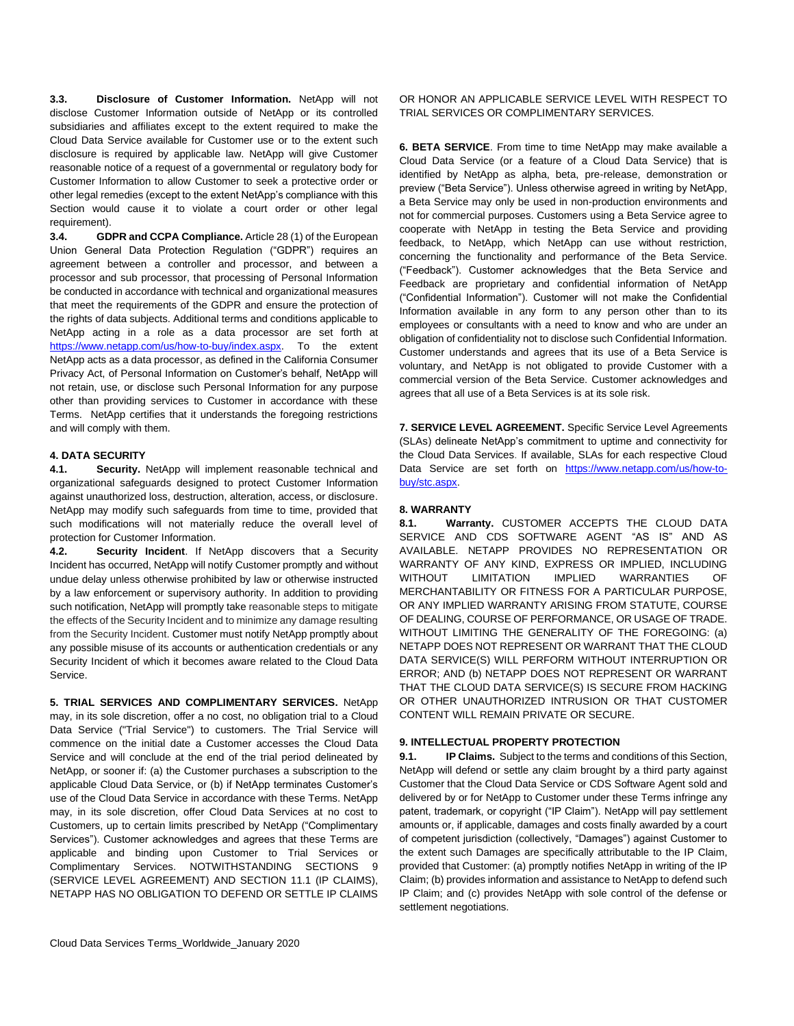**3.3. Disclosure of Customer Information.** NetApp will not disclose Customer Information outside of NetApp or its controlled subsidiaries and affiliates except to the extent required to make the Cloud Data Service available for Customer use or to the extent such disclosure is required by applicable law. NetApp will give Customer reasonable notice of a request of a governmental or regulatory body for Customer Information to allow Customer to seek a protective order or other legal remedies (except to the extent NetApp's compliance with this Section would cause it to violate a court order or other legal requirement).

**3.4. GDPR and CCPA Compliance.** Article 28 (1) of the European Union General Data Protection Regulation ("GDPR") requires an agreement between a controller and processor, and between a processor and sub processor, that processing of Personal Information be conducted in accordance with technical and organizational measures that meet the requirements of the GDPR and ensure the protection of the rights of data subjects. Additional terms and conditions applicable to NetApp acting in a role as a data processor are set forth at [https://www.netapp.com/us/how-to-buy/index.aspx.](https://www.netapp.com/us/how-to-buy/index.aspx) To the extent NetApp acts as a data processor, as defined in the California Consumer Privacy Act, of Personal Information on Customer's behalf, NetApp will not retain, use, or disclose such Personal Information for any purpose other than providing services to Customer in accordance with these Terms. NetApp certifies that it understands the foregoing restrictions and will comply with them.

# **4. DATA SECURITY**

**4.1. Security.** NetApp will implement reasonable technical and organizational safeguards designed to protect Customer Information against unauthorized loss, destruction, alteration, access, or disclosure. NetApp may modify such safeguards from time to time, provided that such modifications will not materially reduce the overall level of protection for Customer Information.

**4.2. Security Incident**. If NetApp discovers that a Security Incident has occurred, NetApp will notify Customer promptly and without undue delay unless otherwise prohibited by law or otherwise instructed by a law enforcement or supervisory authority. In addition to providing such notification, NetApp will promptly take reasonable steps to mitigate the effects of the Security Incident and to minimize any damage resulting from the Security Incident. Customer must notify NetApp promptly about any possible misuse of its accounts or authentication credentials or any Security Incident of which it becomes aware related to the Cloud Data Service.

**5. TRIAL SERVICES AND COMPLIMENTARY SERVICES.** NetApp may, in its sole discretion, offer a no cost, no obligation trial to a Cloud Data Service ("Trial Service") to customers. The Trial Service will commence on the initial date a Customer accesses the Cloud Data Service and will conclude at the end of the trial period delineated by NetApp, or sooner if: (a) the Customer purchases a subscription to the applicable Cloud Data Service, or (b) if NetApp terminates Customer's use of the Cloud Data Service in accordance with these Terms. NetApp may, in its sole discretion, offer Cloud Data Services at no cost to Customers, up to certain limits prescribed by NetApp ("Complimentary Services"). Customer acknowledges and agrees that these Terms are applicable and binding upon Customer to Trial Services or Complimentary Services. NOTWITHSTANDING SECTIONS 9 (SERVICE LEVEL AGREEMENT) AND SECTION 11.1 (IP CLAIMS), NETAPP HAS NO OBLIGATION TO DEFEND OR SETTLE IP CLAIMS

**6. BETA SERVICE**. From time to time NetApp may make available a Cloud Data Service (or a feature of a Cloud Data Service) that is identified by NetApp as alpha, beta, pre-release, demonstration or preview ("Beta Service"). Unless otherwise agreed in writing by NetApp, a Beta Service may only be used in non-production environments and not for commercial purposes. Customers using a Beta Service agree to cooperate with NetApp in testing the Beta Service and providing feedback, to NetApp, which NetApp can use without restriction, concerning the functionality and performance of the Beta Service. ("Feedback"). Customer acknowledges that the Beta Service and Feedback are proprietary and confidential information of NetApp ("Confidential Information"). Customer will not make the Confidential Information available in any form to any person other than to its employees or consultants with a need to know and who are under an obligation of confidentiality not to disclose such Confidential Information. Customer understands and agrees that its use of a Beta Service is voluntary, and NetApp is not obligated to provide Customer with a commercial version of the Beta Service. Customer acknowledges and agrees that all use of a Beta Services is at its sole risk.

**7. SERVICE LEVEL AGREEMENT.** Specific Service Level Agreements (SLAs) delineate NetApp's commitment to uptime and connectivity for the Cloud Data Services. If available, SLAs for each respective Cloud Data Service are set forth on [https://www.netapp.com/us/how-to](https://www.netapp.com/us/how-to-buy/stc.aspx)[buy/stc.aspx.](https://www.netapp.com/us/how-to-buy/stc.aspx)

### **8. WARRANTY**

**8.1. Warranty.** CUSTOMER ACCEPTS THE CLOUD DATA SERVICE AND CDS SOFTWARE AGENT "AS IS" AND AS AVAILABLE. NETAPP PROVIDES NO REPRESENTATION OR WARRANTY OF ANY KIND, EXPRESS OR IMPLIED, INCLUDING WITHOUT LIMITATION IMPLIED WARRANTIES OF MERCHANTABILITY OR FITNESS FOR A PARTICULAR PURPOSE, OR ANY IMPLIED WARRANTY ARISING FROM STATUTE, COURSE OF DEALING, COURSE OF PERFORMANCE, OR USAGE OF TRADE. WITHOUT LIMITING THE GENERALITY OF THE FOREGOING: (a) NETAPP DOES NOT REPRESENT OR WARRANT THAT THE CLOUD DATA SERVICE(S) WILL PERFORM WITHOUT INTERRUPTION OR ERROR; AND (b) NETAPP DOES NOT REPRESENT OR WARRANT THAT THE CLOUD DATA SERVICE(S) IS SECURE FROM HACKING OR OTHER UNAUTHORIZED INTRUSION OR THAT CUSTOMER CONTENT WILL REMAIN PRIVATE OR SECURE.

# **9. INTELLECTUAL PROPERTY PROTECTION**

**9.1. IP Claims.** Subject to the terms and conditions of this Section, NetApp will defend or settle any claim brought by a third party against Customer that the Cloud Data Service or CDS Software Agent sold and delivered by or for NetApp to Customer under these Terms infringe any patent, trademark, or copyright ("IP Claim"). NetApp will pay settlement amounts or, if applicable, damages and costs finally awarded by a court of competent jurisdiction (collectively, "Damages") against Customer to the extent such Damages are specifically attributable to the IP Claim, provided that Customer: (a) promptly notifies NetApp in writing of the IP Claim; (b) provides information and assistance to NetApp to defend such IP Claim; and (c) provides NetApp with sole control of the defense or settlement negotiations.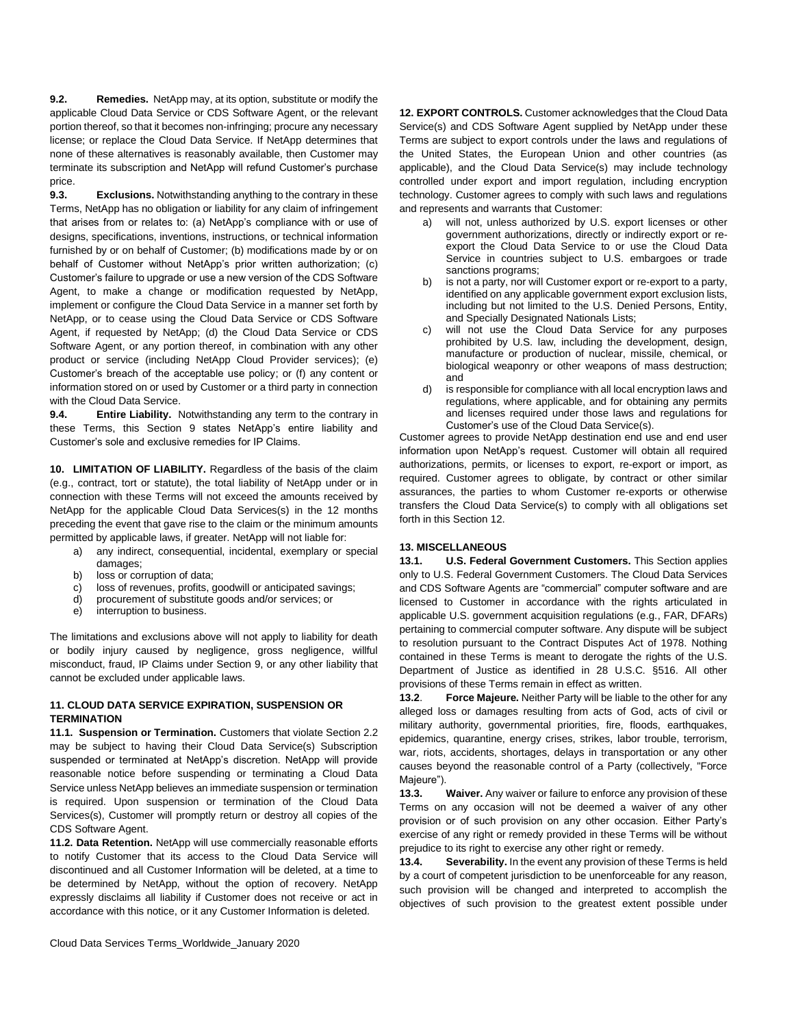**9.2. Remedies.** NetApp may, at its option, substitute or modify the applicable Cloud Data Service or CDS Software Agent, or the relevant portion thereof, so that it becomes non-infringing; procure any necessary license; or replace the Cloud Data Service. If NetApp determines that none of these alternatives is reasonably available, then Customer may terminate its subscription and NetApp will refund Customer's purchase price.

**9.3. Exclusions.** Notwithstanding anything to the contrary in these Terms, NetApp has no obligation or liability for any claim of infringement that arises from or relates to: (a) NetApp's compliance with or use of designs, specifications, inventions, instructions, or technical information furnished by or on behalf of Customer; (b) modifications made by or on behalf of Customer without NetApp's prior written authorization; (c) Customer's failure to upgrade or use a new version of the CDS Software Agent, to make a change or modification requested by NetApp, implement or configure the Cloud Data Service in a manner set forth by NetApp, or to cease using the Cloud Data Service or CDS Software Agent, if requested by NetApp; (d) the Cloud Data Service or CDS Software Agent, or any portion thereof, in combination with any other product or service (including NetApp Cloud Provider services); (e) Customer's breach of the acceptable use policy; or (f) any content or information stored on or used by Customer or a third party in connection with the Cloud Data Service.

**9.4. Entire Liability.** Notwithstanding any term to the contrary in these Terms, this Section 9 states NetApp's entire liability and Customer's sole and exclusive remedies for IP Claims.

**10. LIMITATION OF LIABILITY.** Regardless of the basis of the claim (e.g., contract, tort or statute), the total liability of NetApp under or in connection with these Terms will not exceed the amounts received by NetApp for the applicable Cloud Data Services(s) in the 12 months preceding the event that gave rise to the claim or the minimum amounts permitted by applicable laws, if greater. NetApp will not liable for:

a) any indirect, consequential, incidental, exemplary or special

- damages:
- b) loss or corruption of data;
- c) loss of revenues, profits, goodwill or anticipated savings;
- d) procurement of substitute goods and/or services; or
- e) interruption to business.

The limitations and exclusions above will not apply to liability for death or bodily injury caused by negligence, gross negligence, willful misconduct, fraud, IP Claims under Section 9, or any other liability that cannot be excluded under applicable laws.

## **11. CLOUD DATA SERVICE EXPIRATION, SUSPENSION OR TERMINATION**

**11.1. Suspension or Termination.** Customers that violate Section 2.2 may be subject to having their Cloud Data Service(s) Subscription suspended or terminated at NetApp's discretion. NetApp will provide reasonable notice before suspending or terminating a Cloud Data Service unless NetApp believes an immediate suspension or termination is required. Upon suspension or termination of the Cloud Data Services(s), Customer will promptly return or destroy all copies of the CDS Software Agent.

**11.2. Data Retention.** NetApp will use commercially reasonable efforts to notify Customer that its access to the Cloud Data Service will discontinued and all Customer Information will be deleted, at a time to be determined by NetApp, without the option of recovery. NetApp expressly disclaims all liability if Customer does not receive or act in accordance with this notice, or it any Customer Information is deleted.

**12. EXPORT CONTROLS.** Customer acknowledges that the Cloud Data Service(s) and CDS Software Agent supplied by NetApp under these Terms are subject to export controls under the laws and regulations of the United States, the European Union and other countries (as applicable), and the Cloud Data Service(s) may include technology controlled under export and import regulation, including encryption technology. Customer agrees to comply with such laws and regulations and represents and warrants that Customer:

- a) will not, unless authorized by U.S. export licenses or other government authorizations, directly or indirectly export or reexport the Cloud Data Service to or use the Cloud Data Service in countries subject to U.S. embargoes or trade sanctions programs;
- b) is not a party, nor will Customer export or re-export to a party, identified on any applicable government export exclusion lists, including but not limited to the U.S. Denied Persons, Entity, and Specially Designated Nationals Lists;
- c) will not use the Cloud Data Service for any purposes prohibited by U.S. law, including the development, design, manufacture or production of nuclear, missile, chemical, or biological weaponry or other weapons of mass destruction; and
- d) is responsible for compliance with all local encryption laws and regulations, where applicable, and for obtaining any permits and licenses required under those laws and regulations for Customer's use of the Cloud Data Service(s).

Customer agrees to provide NetApp destination end use and end user information upon NetApp's request. Customer will obtain all required authorizations, permits, or licenses to export, re-export or import, as required. Customer agrees to obligate, by contract or other similar assurances, the parties to whom Customer re-exports or otherwise transfers the Cloud Data Service(s) to comply with all obligations set forth in this Section 12.

# **13. MISCELLANEOUS**

**13.1. U.S. Federal Government Customers.** This Section applies only to U.S. Federal Government Customers. The Cloud Data Services and CDS Software Agents are "commercial" computer software and are licensed to Customer in accordance with the rights articulated in applicable U.S. government acquisition regulations (e.g., FAR, DFARs) pertaining to commercial computer software. Any dispute will be subject to resolution pursuant to the Contract Disputes Act of 1978. Nothing contained in these Terms is meant to derogate the rights of the U.S. Department of Justice as identified in 28 U.S.C. §516. All other provisions of these Terms remain in effect as written.

**13.2**. **Force Majeure.** Neither Party will be liable to the other for any alleged loss or damages resulting from acts of God, acts of civil or military authority, governmental priorities, fire, floods, earthquakes, epidemics, quarantine, energy crises, strikes, labor trouble, terrorism, war, riots, accidents, shortages, delays in transportation or any other causes beyond the reasonable control of a Party (collectively, "Force Majeure").

**13.3. Waiver.** Any waiver or failure to enforce any provision of these Terms on any occasion will not be deemed a waiver of any other provision or of such provision on any other occasion. Either Party's exercise of any right or remedy provided in these Terms will be without prejudice to its right to exercise any other right or remedy.

**13.4. Severability.** In the event any provision of these Terms is held by a court of competent jurisdiction to be unenforceable for any reason, such provision will be changed and interpreted to accomplish the objectives of such provision to the greatest extent possible under